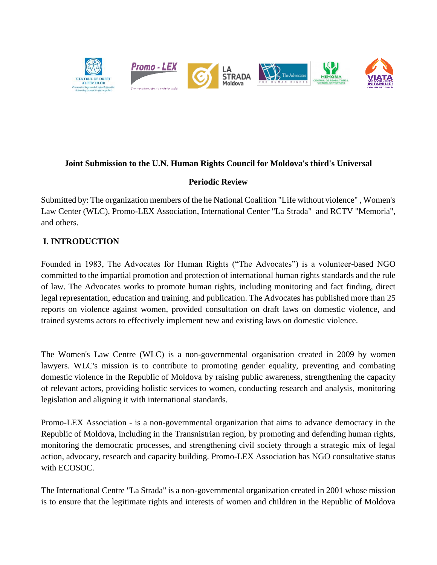

#### **Joint Submission to the U.N. Human Rights Council for Moldova's third's Universal**

#### **Periodic Review**

Submitted by: The organization members of the he National Coalition "Life without violence" , Women's Law Center (WLC), Promo-LEX Association, International Center "La Strada" and RCTV "Memoria", and others.

## **I. INTRODUCTION**

Founded in 1983, The Advocates for Human Rights ("The Advocates") is a volunteer-based NGO committed to the impartial promotion and protection of international human rights standards and the rule of law. The Advocates works to promote human rights, including monitoring and fact finding, direct legal representation, education and training, and publication. The Advocates has published more than 25 reports on violence against women, provided consultation on draft laws on domestic violence, and trained systems actors to effectively implement new and existing laws on domestic violence.

The Women's Law Centre (WLC) is a non-governmental organisation created in 2009 by women lawyers. WLC's mission is to contribute to promoting gender equality, preventing and combating domestic violence in the Republic of Moldova by raising public awareness, strengthening the capacity of relevant actors, providing holistic services to women, conducting research and analysis, monitoring legislation and aligning it with international standards.

Promo-LEX Association - is a non-governmental organization that aims to advance democracy in the Republic of Moldova, including in the Transnistrian region, by promoting and defending human rights, monitoring the democratic processes, and strengthening civil society through a strategic mix of legal action, advocacy, research and capacity building. Promo-LEX Association has NGO consultative status with ECOSOC.

The International Centre "La Strada" is a non-governmental organization created in 2001 whose mission is to ensure that the legitimate rights and interests of women and children in the Republic of Moldova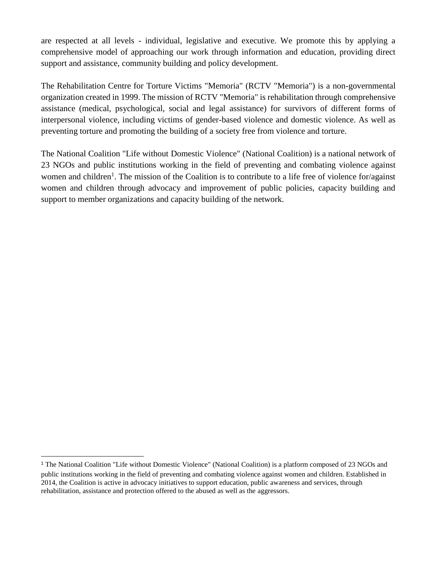are respected at all levels - individual, legislative and executive. We promote this by applying a comprehensive model of approaching our work through information and education, providing direct support and assistance, community building and policy development.

The Rehabilitation Centre for Torture Victims "Memoria" (RCTV "Memoria") is a non-governmental organization created in 1999. The mission of RCTV "Memoria" is rehabilitation through comprehensive assistance (medical, psychological, social and legal assistance) for survivors of different forms of interpersonal violence, including victims of gender-based violence and domestic violence. As well as preventing torture and promoting the building of a society free from violence and torture.

The National Coalition "Life without Domestic Violence" (National Coalition) is a national network of 23 NGOs and public institutions working in the field of preventing and combating violence against women and children<sup>1</sup>. The mission of the Coalition is to contribute to a life free of violence for/against women and children through advocacy and improvement of public policies, capacity building and support to member organizations and capacity building of the network.

 $\overline{\phantom{a}}$ 

<sup>1</sup> The National Coalition "Life without Domestic Violence" (National Coalition) is a platform composed of 23 NGOs and public institutions working in the field of preventing and combating violence against women and children. Established in 2014, the Coalition is active in advocacy initiatives to support education, public awareness and services, through rehabilitation, assistance and protection offered to the abused as well as the aggressors.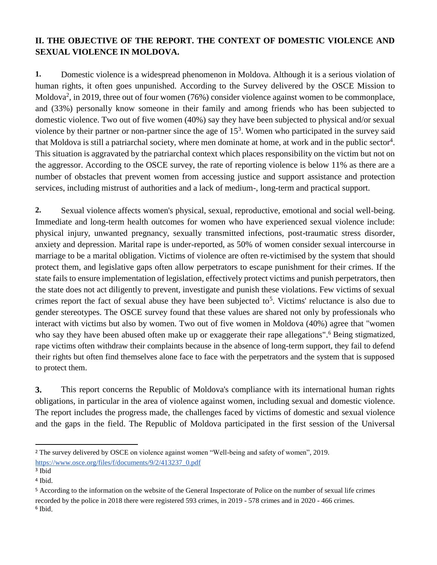# **II. THE OBJECTIVE OF THE REPORT. THE CONTEXT OF DOMESTIC VIOLENCE AND SEXUAL VIOLENCE IN MOLDOVA.**

**1.** Domestic violence is a widespread phenomenon in Moldova. Although it is a serious violation of human rights, it often goes unpunished. According to the Survey delivered by the OSCE Mission to Moldova<sup>2</sup>, in 2019, three out of four women (76%) consider violence against women to be commonplace, and (33%) personally know someone in their family and among friends who has been subjected to domestic violence. Two out of five women (40%) say they have been subjected to physical and/or sexual violence by their partner or non-partner since the age of  $15<sup>3</sup>$ . Women who participated in the survey said that Moldova is still a patriarchal society, where men dominate at home, at work and in the public sector<sup>4</sup>. This situation is aggravated by the patriarchal context which places responsibility on the victim but not on the aggressor. According to the OSCE survey, the rate of reporting violence is below 11% as there are a number of obstacles that prevent women from accessing justice and support assistance and protection services, including mistrust of authorities and a lack of medium-, long-term and practical support.

**2.** Sexual violence affects women's physical, sexual, reproductive, emotional and social well-being. Immediate and long-term health outcomes for women who have experienced sexual violence include: physical injury, unwanted pregnancy, sexually transmitted infections, post-traumatic stress disorder, anxiety and depression. Marital rape is under-reported, as 50% of women consider sexual intercourse in marriage to be a marital obligation. Victims of violence are often re-victimised by the system that should protect them, and legislative gaps often allow perpetrators to escape punishment for their crimes. If the state fails to ensure implementation of legislation, effectively protect victims and punish perpetrators, then the state does not act diligently to prevent, investigate and punish these violations. Few victims of sexual crimes report the fact of sexual abuse they have been subjected to<sup>5</sup>. Victims' reluctance is also due to gender stereotypes. The OSCE survey found that these values are shared not only by professionals who interact with victims but also by women. Two out of five women in Moldova (40%) agree that "women who say they have been abused often make up or exaggerate their rape allegations".<sup>6</sup> Being stigmatized, rape victims often withdraw their complaints because in the absence of long-term support, they fail to defend their rights but often find themselves alone face to face with the perpetrators and the system that is supposed to protect them.

**3.** This report concerns the Republic of Moldova's compliance with its international human rights obligations, in particular in the area of violence against women, including sexual and domestic violence. The report includes the progress made, the challenges faced by victims of domestic and sexual violence and the gaps in the field. The Republic of Moldova participated in the first session of the Universal

 $\ddot{\phantom{a}}$ 

<sup>2</sup> The survey delivered by OSCE on violence against women "Well-being and safety of women", 2019[.](https://www.osce.org/files/f/documents/9/2/413237_0.pdf) [https://www.osce.org/files/f/documents/9/2/413237\\_0.pdf](https://www.osce.org/files/f/documents/9/2/413237_0.pdf)

<sup>3</sup> Ibid

<sup>4</sup> Ibid.

<sup>5</sup> According to the information on the website of the General Inspectorate of Police on the number of sexual life crimes recorded by the police in 2018 there were registered 593 crimes, in 2019 - 578 crimes and in 2020 - 466 crimes. <sup>6</sup> Ibid.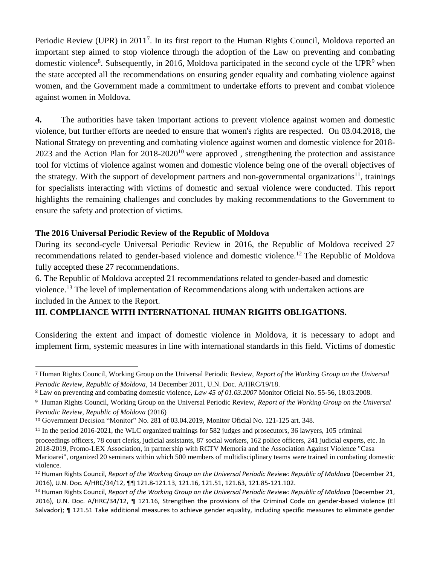Periodic Review (UPR) in 2011<sup>7</sup>. In its first report to the Human Rights Council, Moldova reported an important step aimed to stop violence through the adoption of the Law on preventing and combating domestic violence<sup>8</sup>. Subsequently, in 2016, Moldova participated in the second cycle of the UPR<sup>9</sup> when the state accepted all the recommendations on ensuring gender equality and combating violence against women, and the Government made a commitment to undertake efforts to prevent and combat violence against women in Moldova.

**4.** The authorities have taken important actions to prevent violence against women and domestic violence, but further efforts are needed to ensure that women's rights are respected. On 03.04.2018, the National Strategy on preventing and combating violence against women and domestic violence for 2018- 2023 and the Action Plan for 2018-2020<sup>10</sup> were approved , strengthening the protection and assistance tool for victims of violence against women and domestic violence being one of the overall objectives of the strategy. With the support of development partners and non-governmental organizations<sup>11</sup>, trainings for specialists interacting with victims of domestic and sexual violence were conducted. This report highlights the remaining challenges and concludes by making recommendations to the Government to ensure the safety and protection of victims.

#### **The 2016 Universal Periodic Review of the Republic of Moldova**

 $\overline{a}$ 

During its second-cycle Universal Periodic Review in 2016, the Republic of Moldova received 27 recommendations related to gender-based violence and domestic violence.<sup>12</sup> The Republic of Moldova fully accepted these 27 recommendations.

6. The Republic of Moldova accepted 21 recommendations related to gender-based and domestic violence.<sup>13</sup> The level of implementation of Recommendations along with undertaken actions are included in the Annex to the Report.

## **III. COMPLIANCE WITH INTERNATIONAL HUMAN RIGHTS OBLIGATIONS.**

Considering the extent and impact of domestic violence in Moldova, it is necessary to adopt and implement firm, systemic measures in line with international standards in this field. Victims of domestic

<sup>7</sup> Human Rights Council, Working Group on the Universal Periodic Review, *Report of the Working Group on the Universal Periodic Review, Republic of Moldova*, 14 December 2011, U.N. Doc. A/HRC/19/18.

<sup>8</sup> Law on preventing and combating domestic violence, *Law 45 of 01.03.2007* Monitor Oficial No. 55-56, 18.03.2008.

<sup>9</sup> Human Rights Council, Working Group on the Universal Periodic Review, *Report of the Working Group on the Universal Periodic Review, Republic of Moldova* (2016)

<sup>10</sup> Government Decision "Monitor" No. 281 of 03.04.2019, Monitor Oficial No. 121-125 art. 348.

<sup>11</sup> In the period 2016-2021, the WLC organized trainings for 582 judges and prosecutors, 36 lawyers, 105 criminal

proceedings officers, 78 court clerks, judicial assistants, 87 social workers, 162 police officers, 241 judicial experts, etc. In 2018-2019, Promo-LEX Association, in partnership with RCTV Memoria and the Association Against Violence "Casa Marioarei", organized 20 seminars within which 500 members of multidisciplinary teams were trained in combating domestic violence.

<sup>12</sup> Human Rights Council, *Report of the Working Group on the Universal Periodic Review: Republic of Moldova* (December 21, 2016), U.N. Doc. A/HRC/34/12, ¶¶ 121.8-121.13, 121.16, 121.51, 121.63, 121.85-121.102.

<sup>13</sup> Human Rights Council, *Report of the Working Group on the Universal Periodic Review: Republic of Moldova* (December 21, 2016), U.N. Doc. A/HRC/34/12, ¶ 121.16, Strengthen the provisions of the Criminal Code on gender-based violence (El Salvador); ¶ 121.51 Take additional measures to achieve gender equality, including specific measures to eliminate gender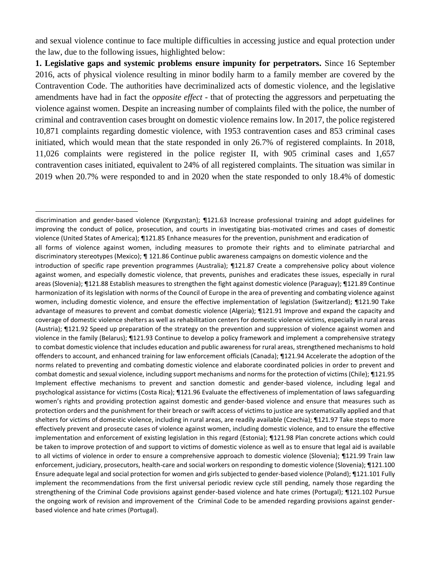and sexual violence continue to face multiple difficulties in accessing justice and equal protection under the law, due to the following issues, highlighted below:

**1. Legislative gaps and systemic problems ensure impunity for perpetrators.** Since 16 September 2016, acts of physical violence resulting in minor bodily harm to a family member are covered by the Contravention Code. The authorities have decriminalized acts of domestic violence, and the legislative amendments have had in fact the *opposite effect -* that of protecting the aggressors and perpetuating the violence against women. Despite an increasing number of complaints filed with the police, the number of criminal and contravention cases brought on domestic violence remains low. In 2017, the police registered 10,871 complaints regarding domestic violence, with 1953 contravention cases and 853 criminal cases initiated, which would mean that the state responded in only 26.7% of registered complaints. In 2018, 11,026 complaints were registered in the police register II, with 905 criminal cases and 1,657 contravention cases initiated, equivalent to 24% of all registered complaints. The situation was similar in 2019 when 20.7% were responded to and in 2020 when the state responded to only 18.4% of domestic

discrimination and gender-based violence (Kyrgyzstan); ¶121.63 Increase professional training and adopt guidelines for improving the conduct of police, prosecution, and courts in investigating bias-motivated crimes and cases of domestic violence (United States of America); ¶121.85 Enhance measures for the prevention, punishment and eradication of all forms of violence against women, including measures to promote their rights and to eliminate patriarchal and discriminatory stereotypes (Mexico); ¶ 121.86 Continue public awareness campaigns on domestic violence and the introduction of specific rape prevention programmes (Australia); ¶121.87 Create a comprehensive policy about violence against women, and especially domestic violence, that prevents, punishes and eradicates these issues, especially in rural areas (Slovenia); ¶121.88 Establish measures to strengthen the fight against domestic violence (Paraguay); ¶121.89 Continue harmonization of its legislation with norms of the Council of Europe in the area of preventing and combating violence against women, including domestic violence, and ensure the effective implementation of legislation (Switzerland); ¶121.90 Take advantage of measures to prevent and combat domestic violence (Algeria); ¶121.91 Improve and expand the capacity and coverage of domestic violence shelters as well as rehabilitation centers for domestic violence victims, especially in rural areas (Austria); ¶121.92 Speed up preparation of the strategy on the prevention and suppression of violence against women and violence in the family (Belarus); ¶121.93 Continue to develop a policy framework and implement a comprehensive strategy to combat domestic violence that includes education and public awareness for rural areas, strengthened mechanisms to hold offenders to account, and enhanced training for law enforcement officials (Canada); ¶121.94 Accelerate the adoption of the norms related to preventing and combating domestic violence and elaborate coordinated policies in order to prevent and combat domestic and sexual violence, including support mechanisms and norms for the protection of victims (Chile); ¶121.95 Implement effective mechanisms to prevent and sanction domestic and gender-based violence, including legal and psychological assistance for victims (Costa Rica); ¶121.96 Evaluate the effectiveness of implementation of laws safeguarding women's rights and providing protection against domestic and gender-based violence and ensure that measures such as protection orders and the punishment for their breach or swift access of victims to justice are systematically applied and that shelters for victims of domestic violence, including in rural areas, are readily available (Czechia); ¶121.97 Take steps to more effectively prevent and prosecute cases of violence against women, including domestic violence, and to ensure the effective implementation and enforcement of existing legislation in this regard (Estonia); ¶121.98 Plan concrete actions which could be taken to improve protection of and support to victims of domestic violence as well as to ensure that legal aid is available to all victims of violence in order to ensure a comprehensive approach to domestic violence (Slovenia); ¶121.99 Train law enforcement, judiciary, prosecutors, health-care and social workers on responding to domestic violence (Slovenia); ¶121.100 Ensure adequate legal and social protection for women and girls subjected to gender-based violence (Poland); ¶121.101 Fully implement the recommendations from the first universal periodic review cycle still pending, namely those regarding the strengthening of the Criminal Code provisions against gender-based violence and hate crimes (Portugal); ¶121.102 Pursue the ongoing work of revision and improvement of the Criminal Code to be amended regarding provisions against genderbased violence and hate crimes (Portugal).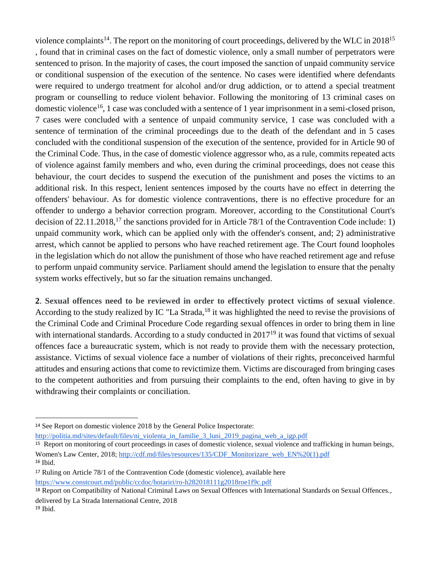violence complaints<sup>14</sup>. The report on the monitoring of court proceedings, delivered by the WLC in  $2018^{15}$ , found that in criminal cases on the fact of domestic violence, only a small number of perpetrators were sentenced to prison. In the majority of cases, the court imposed the sanction of unpaid community service or conditional suspension of the execution of the sentence. No cases were identified where defendants were required to undergo treatment for alcohol and/or drug addiction, or to attend a special treatment program or counselling to reduce violent behavior. Following the monitoring of 13 criminal cases on domestic violence<sup>16</sup>, 1 case was concluded with a sentence of 1 year imprisonment in a semi-closed prison, 7 cases were concluded with a sentence of unpaid community service, 1 case was concluded with a sentence of termination of the criminal proceedings due to the death of the defendant and in 5 cases concluded with the conditional suspension of the execution of the sentence, provided for in Article 90 of the Criminal Code. Thus, in the case of domestic violence aggressor who, as a rule, commits repeated acts of violence against family members and who, even during the criminal proceedings, does not cease this behaviour, the court decides to suspend the execution of the punishment and poses the victims to an additional risk. In this respect, lenient sentences imposed by the courts have no effect in deterring the offenders' behaviour. As for domestic violence contraventions, there is no effective procedure for an offender to undergo a behavior correction program. Moreover, according to the Constitutional Court's decision of 22.11.2018, <sup>17</sup> the sanctions provided for in Article 78/1 of the Contravention Code include: 1) unpaid community work, which can be applied only with the offender's consent, and; 2) administrative arrest, which cannot be applied to persons who have reached retirement age. The Court found loopholes in the legislation which do not allow the punishment of those who have reached retirement age and refuse to perform unpaid community service. Parliament should amend the legislation to ensure that the penalty system works effectively, but so far the situation remains unchanged.

**2**. **Sexual offences need to be reviewed in order to effectively protect victims of sexual violence**. According to the study realized by IC "La Strada,<sup>18</sup> it was highlighted the need to revise the provisions of the Criminal Code and Criminal Procedure Code regarding sexual offences in order to bring them in line with international standards. According to a study conducted in 2017<sup>19</sup> it was found that victims of sexual offences face a bureaucratic system, which is not ready to provide them with the necessary protection, assistance. Victims of sexual violence face a number of violations of their rights, preconceived harmful attitudes and ensuring actions that come to revictimize them. Victims are discouraged from bringing cases to the competent authorities and from pursuing their complaints to the end, often having to give in by withdrawing their complaints or conciliation.

[http://politia.md/sites/default/files/ni\\_violenta\\_in\\_familie\\_3\\_luni\\_2019\\_pagina\\_web\\_a\\_igp.pdf](http://politia.md/sites/default/files/ni_violenta_in_familie_3_luni_2019_pagina_web_a_igp.pdf)

<https://www.constcourt.md/public/ccdoc/hotariri/ro-h282018111g2018roe1f9c.pdf>

<sup>14</sup> See Report on domestic violence 2018 by the General Police Inspectorate:

<sup>15</sup> Report on monitoring of court proceedings in cases of domestic violence, sexual violence and trafficking in human beings, Women's Law Center, 2018; http://cdf.md/files/resources/135/CDF\_Monitorizare\_web\_EN%20(1).pdf <sup>16</sup> Ibid.

<sup>17</sup> Ruling on Article 78/1 of the Contravention Code (domestic violence), available here

<sup>&</sup>lt;sup>18</sup> Report on Compatibility of National Criminal Laws on Sexual Offences with International Standards on Sexual Offences., delivered by La Strada International Centre, 2018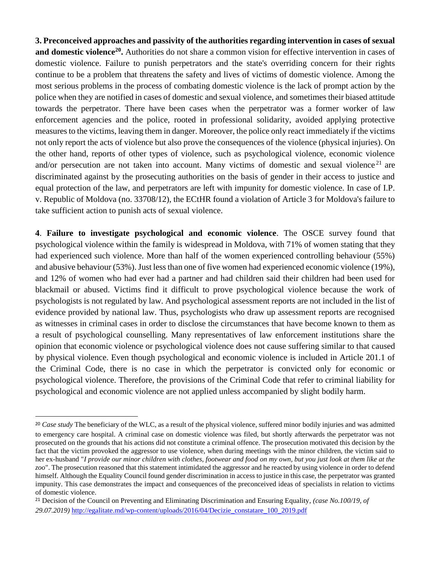**3. Preconceived approaches and passivity of the authorities regarding intervention in cases of sexual and domestic violence<sup>20</sup> .** Authorities do not share a common vision for effective intervention in cases of domestic violence. Failure to punish perpetrators and the state's overriding concern for their rights continue to be a problem that threatens the safety and lives of victims of domestic violence. Among the most serious problems in the process of combating domestic violence is the lack of prompt action by the police when they are notified in cases of domestic and sexual violence, and sometimes their biased attitude towards the perpetrator. There have been cases when the perpetrator was a former worker of law enforcement agencies and the police, rooted in professional solidarity, avoided applying protective measures to the victims, leaving them in danger. Moreover, the police only react immediately if the victims not only report the acts of violence but also prove the consequences of the violence (physical injuries). On the other hand, reports of other types of violence, such as psychological violence, economic violence and/or persecution are not taken into account. Many victims of domestic and sexual violence<sup>21</sup> are discriminated against by the prosecuting authorities on the basis of gender in their access to justice and equal protection of the law, and perpetrators are left with impunity for domestic violence. In case of I.P. v. Republic of Moldova (no. 33708/12), the ECtHR found a violation of Article 3 for Moldova's failure to take sufficient action to punish acts of sexual violence.

**4**. **Failure to investigate psychological and economic violence**. The OSCE survey found that psychological violence within the family is widespread in Moldova, with 71% of women stating that they had experienced such violence. More than half of the women experienced controlling behaviour (55%) and abusive behaviour (53%). Just less than one of five women had experienced economic violence (19%), and 12% of women who had ever had a partner and had children said their children had been used for blackmail or abused. Victims find it difficult to prove psychological violence because the work of psychologists is not regulated by law. And psychological assessment reports are not included in the list of evidence provided by national law. Thus, psychologists who draw up assessment reports are recognised as witnesses in criminal cases in order to disclose the circumstances that have become known to them as a result of psychological counselling. Many representatives of law enforcement institutions share the opinion that economic violence or psychological violence does not cause suffering similar to that caused by physical violence. Even though psychological and economic violence is included in Article 201.1 of the Criminal Code, there is no case in which the perpetrator is convicted only for economic or psychological violence. Therefore, the provisions of the Criminal Code that refer to criminal liability for psychological and economic violence are not applied unless accompanied by slight bodily harm.

<sup>20</sup> *Case study* The beneficiary of the WLC, as a result of the physical violence, suffered minor bodily injuries and was admitted to emergency care hospital. A criminal case on domestic violence was filed, but shortly afterwards the perpetrator was not prosecuted on the grounds that his actions did not constitute a criminal offence. The prosecution motivated this decision by the fact that the victim provoked the aggressor to use violence, when during meetings with the minor children, the victim said to her ex-husband "*I provide our minor children with clothes, footwear and food on my own, but you just look at them like at the zoo*". The prosecution reasoned that this statement intimidated the aggressor and he reacted by using violence in order to defend himself. Although the Equality Council found gender discrimination in access to justice in this case, the perpetrator was granted impunity. This case demonstrates the impact and consequences of the preconceived ideas of specialists in relation to victims of domestic violence.

<sup>21</sup> Decision of the Council on Preventing and Eliminating Discrimination and Ensuring Equality, *(case No.100/19, of 29.07.2019)* [http://egalitate.md/wp-content/uploads/2016/04/Decizie\\_constatare\\_100\\_2019.pdf](http://egalitate.md/wp-content/uploads/2016/04/Decizie_constatare_100_2019.pdf)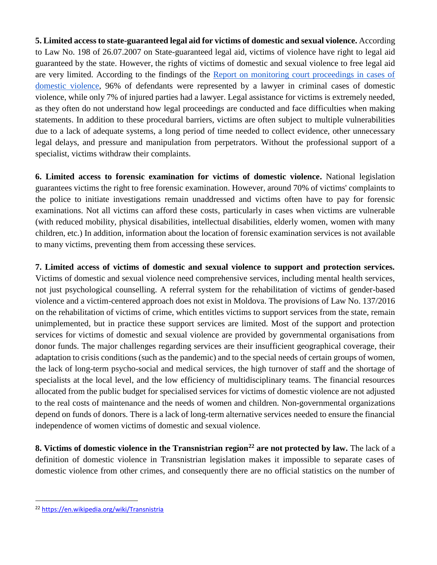**5. Limited access to state-guaranteed legal aid for victims of domestic and sexual violence.** According to Law No. 198 of 26.07.2007 on State-guaranteed legal aid, victims of violence have right to legal aid guaranteed by the state. However, the rights of victims of domestic and sexual violence to free legal aid are very limited. According to the findings of the [Report on monitoring court proceedings in cases of](http://cdf.md/files/resources/135/CDF_Monitorizare_web_EN%20(1).pdf)  [domestic violence,](http://cdf.md/files/resources/135/CDF_Monitorizare_web_EN%20(1).pdf) 96% of defendants were represented by a lawyer in criminal cases of domestic violence, while only 7% of injured parties had a lawyer. Legal assistance for victims is extremely needed, as they often do not understand how legal proceedings are conducted and face difficulties when making statements. In addition to these procedural barriers, victims are often subject to multiple vulnerabilities due to a lack of adequate systems, a long period of time needed to collect evidence, other unnecessary legal delays, and pressure and manipulation from perpetrators. Without the professional support of a specialist, victims withdraw their complaints.

**6. Limited access to forensic examination for victims of domestic violence.** National legislation guarantees victims the right to free forensic examination. However, around 70% of victims' complaints to the police to initiate investigations remain unaddressed and victims often have to pay for forensic examinations. Not all victims can afford these costs, particularly in cases when victims are vulnerable (with reduced mobility, physical disabilities, intellectual disabilities, elderly women, women with many children, etc.) In addition, information about the location of forensic examination services is not available to many victims, preventing them from accessing these services.

**7. Limited access of victims of domestic and sexual violence to support and protection services.**  Victims of domestic and sexual violence need comprehensive services, including mental health services, not just psychological counselling. A referral system for the rehabilitation of victims of gender-based violence and a victim-centered approach does not exist in Moldova. The provisions of Law No. 137/2016 on the rehabilitation of victims of crime, which entitles victims to support services from the state, remain unimplemented, but in practice these support services are limited. Most of the support and protection services for victims of domestic and sexual violence are provided by governmental organisations from donor funds. The major challenges regarding services are their insufficient geographical coverage, their adaptation to crisis conditions (such as the pandemic) and to the special needs of certain groups of women, the lack of long-term psycho-social and medical services, the high turnover of staff and the shortage of specialists at the local level, and the low efficiency of multidisciplinary teams. The financial resources allocated from the public budget for specialised services for victims of domestic violence are not adjusted to the real costs of maintenance and the needs of women and children. Non-governmental organizations depend on funds of donors. There is a lack of long-term alternative services needed to ensure the financial independence of women victims of domestic and sexual violence.

**8. Victims of domestic violence in the Transnistrian region<sup>22</sup> are not protected by law.** The lack of a definition of domestic violence in Transnistrian legislation makes it impossible to separate cases of domestic violence from other crimes, and consequently there are no official statistics on the number of

<sup>22</sup> <https://en.wikipedia.org/wiki/Transnistria>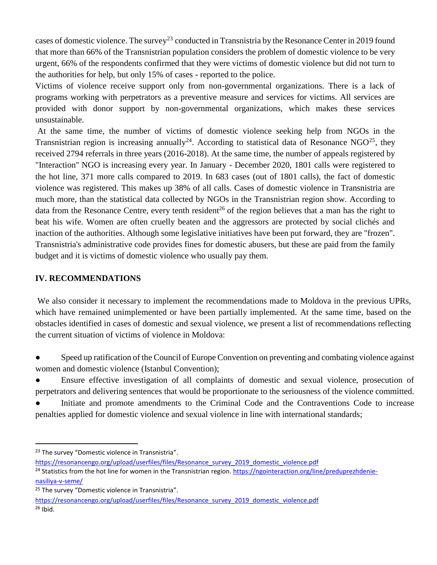cases of domestic violence. The survey<sup>23</sup> conducted in Transnistria by the Resonance Center in 2019 found that more than 66% of the Transnistrian population considers the problem of domestic violence to be very urgent, 66% of the respondents confirmed that they were victims of domestic violence but did not turn to the authorities for help, but only 15% of cases - reported to the police.

Victims of violence receive support only from non-governmental organizations. There is a lack of programs working with perpetrators as a preventive measure and services for victims. All services are provided with donor support by non-governmental organizations, which makes these services unsustainable.

At the same time, the number of victims of domestic violence seeking help from NGOs in the Transnistrian region is increasing annually<sup>24</sup>. According to statistical data of Resonance NGO<sup>25</sup>, they received 2794 referrals in three years (2016-2018). At the same time, the number of appeals registered by "Interaction'' NGO is increasing every year. In January - December 2020, 1801 calls were registered to the hot line, 371 more calls compared to 2019. In 683 cases (out of 1801 calls), the fact of domestic violence was registered. This makes up 38% of all calls. Cases of domestic violence in Transnistria are much more, than the statistical data collected by NGOs in the Transnistrian region show. According to data from the Resonance Centre, every tenth resident<sup>26</sup> of the region believes that a man has the right to beat his wife. Women are often cruelly beaten and the aggressors are protected by social clichés and inaction of the authorities. Although some legislative initiatives have been put forward, they are "frozen". Transnistria's administrative code provides fines for domestic abusers, but these are paid from the family budget and it is victims of domestic violence who usually pay them.

#### **IV. RECOMMENDATIONS**

We also consider it necessary to implement the recommendations made to Moldova in the previous UPRs, which have remained unimplemented or have been partially implemented. At the same time, based on the obstacles identified in cases of domestic and sexual violence, we present a list of recommendations reflecting the current situation of victims of violence in Moldova:

- Speed up ratification of the Council of Europe Convention on preventing and combating violence against women and domestic violence (Istanbul Convention);
- Ensure effective investigation of all complaints of domestic and sexual violence, prosecution of perpetrators and delivering sentences that would be proportionate to the seriousness of the violence committed.

Initiate and promote amendments to the Criminal Code and the Contraventions Code to increase penalties applied for domestic violence and sexual violence in line with international standards;

 $\overline{a}$ 

<sup>24</sup> Statistics from the hot line for women in the Transnistrian region. [https://ngointeraction.org/line/preduprezhdenie](https://ngointeraction.org/line/preduprezhdenie-nasiliya-v-seme/)[nasiliya-v-seme/](https://ngointeraction.org/line/preduprezhdenie-nasiliya-v-seme/)

<sup>&</sup>lt;sup>23</sup> The survey "Domestic violence in Transnistria".

[https://resonancengo.org/upload/userfiles/files/Resonance\\_survey\\_2019\\_domestic\\_violence.pdf](https://resonancengo.org/upload/userfiles/files/Resonance_survey_2019_domestic_violence.pdf)

<sup>&</sup>lt;sup>25</sup> The survey "Domestic violence in Transnistria".

[https://resonancengo.org/upload/userfiles/files/Resonance\\_survey\\_2019\\_domestic\\_violence.pdf](https://resonancengo.org/upload/userfiles/files/Resonance_survey_2019_domestic_violence.pdf) <sup>26</sup> Ibid.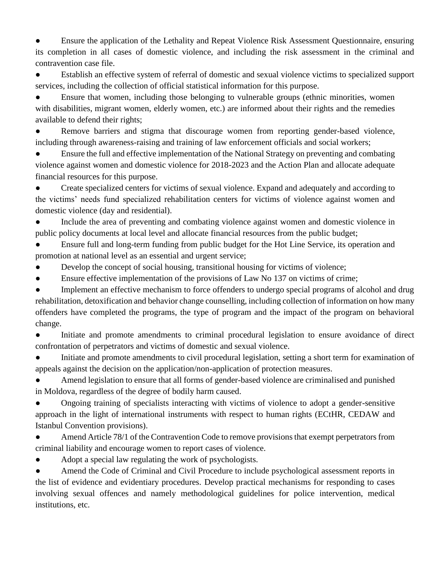Ensure the application of the Lethality and Repeat Violence Risk Assessment Questionnaire, ensuring its completion in all cases of domestic violence, and including the risk assessment in the criminal and contravention case file.

Establish an effective system of referral of domestic and sexual violence victims to specialized support services, including the collection of official statistical information for this purpose.

Ensure that women, including those belonging to vulnerable groups (ethnic minorities, women with disabilities, migrant women, elderly women, etc.) are informed about their rights and the remedies available to defend their rights;

Remove barriers and stigma that discourage women from reporting gender-based violence, including through awareness-raising and training of law enforcement officials and social workers;

Ensure the full and effective implementation of the National Strategy on preventing and combating violence against women and domestic violence for 2018-2023 and the Action Plan and allocate adequate financial resources for this purpose.

Create specialized centers for victims of sexual violence. Expand and adequately and according to the victims' needs fund specialized rehabilitation centers for victims of violence against women and domestic violence (day and residential).

Include the area of preventing and combating violence against women and domestic violence in public policy documents at local level and allocate financial resources from the public budget;

Ensure full and long-term funding from public budget for the Hot Line Service, its operation and promotion at national level as an essential and urgent service;

- Develop the concept of social housing, transitional housing for victims of violence;
- Ensure effective implementation of the provisions of Law No 137 on victims of crime;

Implement an effective mechanism to force offenders to undergo special programs of alcohol and drug rehabilitation, detoxification and behavior change counselling, including collection of information on how many offenders have completed the programs, the type of program and the impact of the program on behavioral change.

Initiate and promote amendments to criminal procedural legislation to ensure avoidance of direct confrontation of perpetrators and victims of domestic and sexual violence.

Initiate and promote amendments to civil procedural legislation, setting a short term for examination of appeals against the decision on the application/non-application of protection measures.

Amend legislation to ensure that all forms of gender-based violence are criminalised and punished in Moldova, regardless of the degree of bodily harm caused.

Ongoing training of specialists interacting with victims of violence to adopt a gender-sensitive approach in the light of international instruments with respect to human rights (ECtHR, CEDAW and Istanbul Convention provisions).

Amend Article 78/1 of the Contravention Code to remove provisions that exempt perpetrators from criminal liability and encourage women to report cases of violence.

Adopt a special law regulating the work of psychologists.

Amend the Code of Criminal and Civil Procedure to include psychological assessment reports in the list of evidence and evidentiary procedures. Develop practical mechanisms for responding to cases involving sexual offences and namely methodological guidelines for police intervention, medical institutions, etc.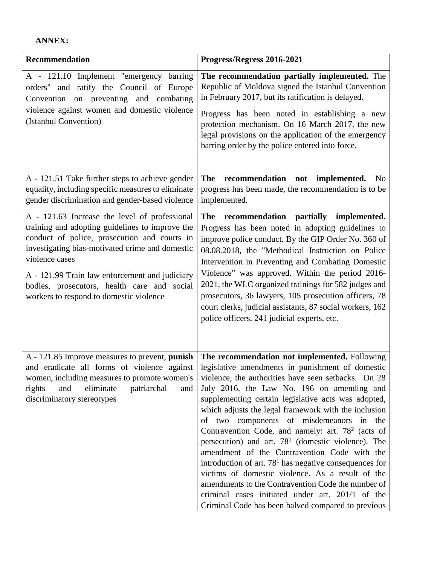# **ANNEX:**

| <b>Recommendation</b>                                                                                                                                                                                                                                                                                                                                             | Progress/Regress 2016-2021                                                                                                                                                                                                                                                                                                                                                                                                                                                                                                                                                                                                                                                                                                                                                                                       |
|-------------------------------------------------------------------------------------------------------------------------------------------------------------------------------------------------------------------------------------------------------------------------------------------------------------------------------------------------------------------|------------------------------------------------------------------------------------------------------------------------------------------------------------------------------------------------------------------------------------------------------------------------------------------------------------------------------------------------------------------------------------------------------------------------------------------------------------------------------------------------------------------------------------------------------------------------------------------------------------------------------------------------------------------------------------------------------------------------------------------------------------------------------------------------------------------|
| A - 121.10 Implement "emergency barring<br>orders" and ratify the Council of Europe<br>Convention on preventing and combating<br>violence against women and domestic violence<br>(Istanbul Convention)                                                                                                                                                            | The recommendation partially implemented. The<br>Republic of Moldova signed the Istanbul Convention<br>in February 2017, but its ratification is delayed.<br>Progress has been noted in establishing a new<br>protection mechanism. On 16 March 2017, the new<br>legal provisions on the application of the emergency<br>barring order by the police entered into force.                                                                                                                                                                                                                                                                                                                                                                                                                                         |
| A - 121.51 Take further steps to achieve gender<br>equality, including specific measures to eliminate<br>gender discrimination and gender-based violence                                                                                                                                                                                                          | recommendation not implemented.<br>The<br>N <sub>0</sub><br>progress has been made, the recommendation is to be<br>implemented.                                                                                                                                                                                                                                                                                                                                                                                                                                                                                                                                                                                                                                                                                  |
| A - 121.63 Increase the level of professional<br>training and adopting guidelines to improve the<br>conduct of police, prosecution and courts in<br>investigating bias-motivated crime and domestic<br>violence cases<br>A - 121.99 Train law enforcement and judiciary<br>bodies, prosecutors, health care and social<br>workers to respond to domestic violence | recommendation<br>partially implemented.<br>The<br>Progress has been noted in adopting guidelines to<br>improve police conduct. By the GIP Order No. 360 of<br>08.08.2018, the "Methodical Instruction on Police<br>Intervention in Preventing and Combating Domestic<br>Violence" was approved. Within the period 2016-<br>2021, the WLC organized trainings for 582 judges and<br>prosecutors, 36 lawyers, 105 prosecution officers, 78<br>court clerks, judicial assistants, 87 social workers, 162<br>police officers, 241 judicial experts, etc.                                                                                                                                                                                                                                                            |
| A - 121.85 Improve measures to prevent, punish<br>and eradicate all forms of violence against<br>women, including measures to promote women's<br>eliminate<br>and<br>patriarchal<br>rights<br>and<br>discriminatory stereotypes                                                                                                                                   | The recommendation not implemented. Following<br>legislative amendments in punishment of domestic<br>violence, the authorities have seen setbacks. On 28<br>July 2016, the Law No. 196 on amending and<br>supplementing certain legislative acts was adopted,<br>which adjusts the legal framework with the inclusion<br>of two components of misdemeanors in the<br>Contravention Code, and namely: art. $782$ (acts of<br>persecution) and art. $781$ (domestic violence). The<br>amendment of the Contravention Code with the<br>introduction of art. $781$ has negative consequences for<br>victims of domestic violence. As a result of the<br>amendments to the Contravention Code the number of<br>criminal cases initiated under art. 201/1 of the<br>Criminal Code has been halved compared to previous |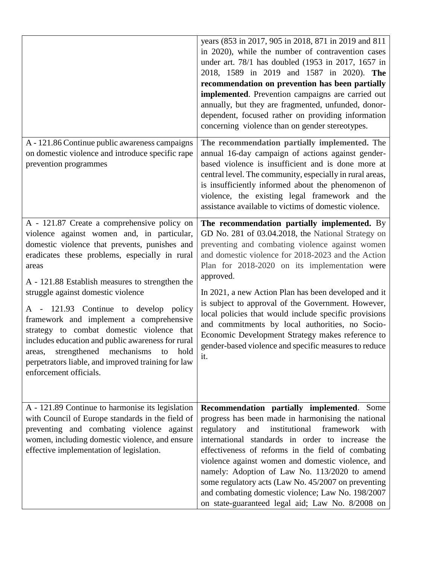|                                                                                                                                                                                                                                                                                                                                                                                                                                                                                                                                                                                                                         | years (853 in 2017, 905 in 2018, 871 in 2019 and 811<br>in 2020), while the number of contravention cases<br>under art. 78/1 has doubled (1953 in 2017, 1657 in<br>2018, 1589 in 2019 and 1587 in 2020). The<br>recommendation on prevention has been partially<br>implemented. Prevention campaigns are carried out<br>annually, but they are fragmented, unfunded, donor-<br>dependent, focused rather on providing information<br>concerning violence than on gender stereotypes.                                                                                                                                    |
|-------------------------------------------------------------------------------------------------------------------------------------------------------------------------------------------------------------------------------------------------------------------------------------------------------------------------------------------------------------------------------------------------------------------------------------------------------------------------------------------------------------------------------------------------------------------------------------------------------------------------|-------------------------------------------------------------------------------------------------------------------------------------------------------------------------------------------------------------------------------------------------------------------------------------------------------------------------------------------------------------------------------------------------------------------------------------------------------------------------------------------------------------------------------------------------------------------------------------------------------------------------|
| A - 121.86 Continue public awareness campaigns<br>on domestic violence and introduce specific rape<br>prevention programmes                                                                                                                                                                                                                                                                                                                                                                                                                                                                                             | The recommendation partially implemented. The<br>annual 16-day campaign of actions against gender-<br>based violence is insufficient and is done more at<br>central level. The community, especially in rural areas,<br>is insufficiently informed about the phenomenon of<br>violence, the existing legal framework and the<br>assistance available to victims of domestic violence.                                                                                                                                                                                                                                   |
| A - 121.87 Create a comprehensive policy on<br>violence against women and, in particular,<br>domestic violence that prevents, punishes and<br>eradicates these problems, especially in rural<br>areas<br>A - 121.88 Establish measures to strengthen the<br>struggle against domestic violence<br>A - 121.93 Continue to develop policy<br>framework and implement a comprehensive<br>strategy to combat domestic violence that<br>includes education and public awareness for rural<br>strengthened mechanisms<br>hold<br>areas,<br>to<br>perpetrators liable, and improved training for law<br>enforcement officials. | The recommendation partially implemented. By<br>GD No. 281 of 03.04.2018, the National Strategy on<br>preventing and combating violence against women<br>and domestic violence for 2018-2023 and the Action<br>Plan for 2018-2020 on its implementation were<br>approved.<br>In 2021, a new Action Plan has been developed and it<br>is subject to approval of the Government. However,<br>local policies that would include specific provisions<br>and commitments by local authorities, no Socio-<br>Economic Development Strategy makes reference to<br>gender-based violence and specific measures to reduce<br>it. |
| A - 121.89 Continue to harmonise its legislation<br>with Council of Europe standards in the field of<br>preventing and combating violence against<br>women, including domestic violence, and ensure<br>effective implementation of legislation.                                                                                                                                                                                                                                                                                                                                                                         | Recommendation partially implemented.<br>Some<br>progress has been made in harmonising the national<br>regulatory<br>institutional<br>framework<br>and<br>with<br>international standards in order to increase the<br>effectiveness of reforms in the field of combating<br>violence against women and domestic violence, and<br>namely: Adoption of Law No. 113/2020 to amend<br>some regulatory acts (Law No. 45/2007 on preventing<br>and combating domestic violence; Law No. 198/2007<br>on state-guaranteed legal aid; Law No. 8/2008 on                                                                          |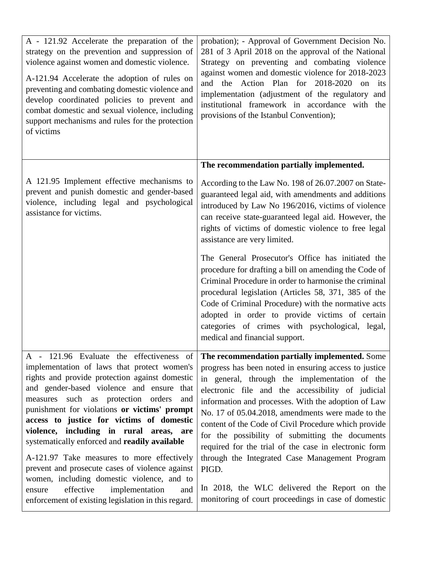| A - 121.92 Accelerate the preparation of the<br>strategy on the prevention and suppression of<br>violence against women and domestic violence.<br>A-121.94 Accelerate the adoption of rules on<br>preventing and combating domestic violence and<br>develop coordinated policies to prevent and<br>combat domestic and sexual violence, including<br>support mechanisms and rules for the protection<br>of victims                                                                                                                                                          | probation); - Approval of Government Decision No.<br>281 of 3 April 2018 on the approval of the National<br>Strategy on preventing and combating violence<br>against women and domestic violence for 2018-2023<br>and the Action Plan for 2018-2020 on its<br>implementation (adjustment of the regulatory and<br>institutional framework in accordance with the<br>provisions of the Istanbul Convention);                                                                                                                                                                  |
|-----------------------------------------------------------------------------------------------------------------------------------------------------------------------------------------------------------------------------------------------------------------------------------------------------------------------------------------------------------------------------------------------------------------------------------------------------------------------------------------------------------------------------------------------------------------------------|------------------------------------------------------------------------------------------------------------------------------------------------------------------------------------------------------------------------------------------------------------------------------------------------------------------------------------------------------------------------------------------------------------------------------------------------------------------------------------------------------------------------------------------------------------------------------|
|                                                                                                                                                                                                                                                                                                                                                                                                                                                                                                                                                                             | The recommendation partially implemented.                                                                                                                                                                                                                                                                                                                                                                                                                                                                                                                                    |
| A 121.95 Implement effective mechanisms to<br>prevent and punish domestic and gender-based<br>violence, including legal and psychological<br>assistance for victims.                                                                                                                                                                                                                                                                                                                                                                                                        | According to the Law No. 198 of 26.07.2007 on State-<br>guaranteed legal aid, with amendments and additions<br>introduced by Law No 196/2016, victims of violence<br>can receive state-guaranteed legal aid. However, the<br>rights of victims of domestic violence to free legal<br>assistance are very limited.                                                                                                                                                                                                                                                            |
|                                                                                                                                                                                                                                                                                                                                                                                                                                                                                                                                                                             | The General Prosecutor's Office has initiated the<br>procedure for drafting a bill on amending the Code of<br>Criminal Procedure in order to harmonise the criminal<br>procedural legislation (Articles 58, 371, 385 of the<br>Code of Criminal Procedure) with the normative acts<br>adopted in order to provide victims of certain<br>categories of crimes with psychological, legal,<br>medical and financial support.                                                                                                                                                    |
| A - 121.96 Evaluate the effectiveness of<br>implementation of laws that protect women's<br>rights and provide protection against domestic<br>and gender-based violence and ensure that<br>measures such as protection orders<br>and<br>punishment for violations or victims' prompt<br>access to justice for victims of domestic<br>violence, including in rural areas, are<br>systematically enforced and readily available<br>A-121.97 Take measures to more effectively<br>prevent and prosecute cases of violence against<br>women, including domestic violence, and to | <b>CONTINUES</b><br>The recommendation partially implemented. Some<br>progress has been noted in ensuring access to justice<br>in general, through the implementation of the<br>electronic file and the accessibility of judicial<br>information and processes. With the adoption of Law<br>No. 17 of 05.04.2018, amendments were made to the<br>content of the Code of Civil Procedure which provide<br>for the possibility of submitting the documents<br>required for the trial of the case in electronic form<br>through the Integrated Case Management Program<br>PIGD. |
| effective<br>implementation<br>ensure<br>and<br>enforcement of existing legislation in this regard.                                                                                                                                                                                                                                                                                                                                                                                                                                                                         | In 2018, the WLC delivered the Report on the<br>monitoring of court proceedings in case of domestic                                                                                                                                                                                                                                                                                                                                                                                                                                                                          |